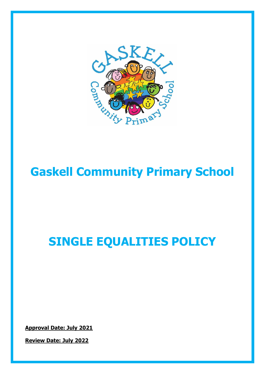

# **Gaskell Community Primary School**

## **SINGLE EQUALITIES POLICY**

**Approval Date: July 2021** 

**Review Date: July 2022**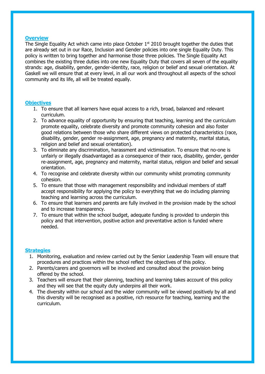#### **Overview**

The Single Equality Act which came into place October  $1<sup>st</sup>$  2010 brought together the duties that are already set out in our Race, Inclusion and Gender policies into one single Equality Duty. This policy is written to bring together and harmonise those three policies. The Single Equality Act combines the existing three duties into one new Equality Duty that covers all seven of the equality strands: age, disability, gender, gender-identity, race, religion or belief and sexual orientation. At Gaskell we will ensure that at every level, in all our work and throughout all aspects of the school community and its life, all will be treated equally.

#### **Objectives**

- 1. To ensure that all learners have equal access to a rich, broad, balanced and relevant curriculum.
- 2. To advance equality of opportunity by ensuring that teaching, learning and the curriculum promote equality, celebrate diversity and promote community cohesion and also foster good relations between those who share different views on protected characteristics (race, disability, gender, gender re-assignment, age, pregnancy and maternity, marital status, religion and belief and sexual orientation).
- 3. To eliminate any discrimination, harassment and victimisation. To ensure that no-one is unfairly or illegally disadvantaged as a consequence of their race, disability, gender, gender re-assignment, age, pregnancy and maternity, marital status, religion and belief and sexual orientation.
- 4. To recognise and celebrate diversity within our community whilst promoting community cohesion.
- 5. To ensure that those with management responsibility and individual members of staff accept responsibility for applying the policy to everything that we do including planning teaching and learning across the curriculum.
- 6. To ensure that learners and parents are fully involved in the provision made by the school and to increase transparency.
- 7. To ensure that within the school budget, adequate funding is provided to underpin this policy and that intervention, positive action and preventative action is funded where needed.

#### **Strategies**

- 1. Monitoring, evaluation and review carried out by the Senior Leadership Team will ensure that procedures and practices within the school reflect the objectives of this policy.
- 2. Parents/carers and governors will be involved and consulted about the provision being offered by the school.
- 3. Teachers will ensure that their planning, teaching and learning takes account of this policy and they will see that the equity duty underpins all their work.
- 4. The diversity within our school and the wider community will be viewed positively by all and this diversity will be recognised as a positive, rich resource for teaching, learning and the curriculum.